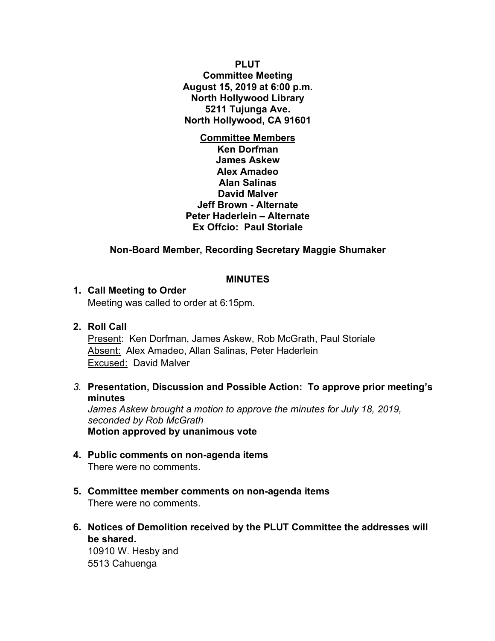**PLUT Committee Meeting August 15, 2019 at 6:00 p.m. North Hollywood Library 5211 Tujunga Ave. North Hollywood, CA 91601**

**Committee Members Ken Dorfman James Askew Alex Amadeo Alan Salinas David Malver Jeff Brown - Alternate Peter Haderlein – Alternate Ex Offcio: Paul Storiale**

# **Non-Board Member, Recording Secretary Maggie Shumaker**

#### **MINUTES**

#### **1. Call Meeting to Order**

Meeting was called to order at 6:15pm.

### **2. Roll Call**

Present: Ken Dorfman, James Askew, Rob McGrath, Paul Storiale Absent: Alex Amadeo, Allan Salinas, Peter Haderlein Excused: David Malver

*3.* **Presentation, Discussion and Possible Action: To approve prior meeting's minutes**

*James Askew brought a motion to approve the minutes for July 18, 2019, seconded by Rob McGrath* **Motion approved by unanimous vote**

- **4. Public comments on non-agenda items** There were no comments.
- **5. Committee member comments on non-agenda items** There were no comments.
- **6. Notices of Demolition received by the PLUT Committee the addresses will be shared.**

10910 W. Hesby and 5513 Cahuenga